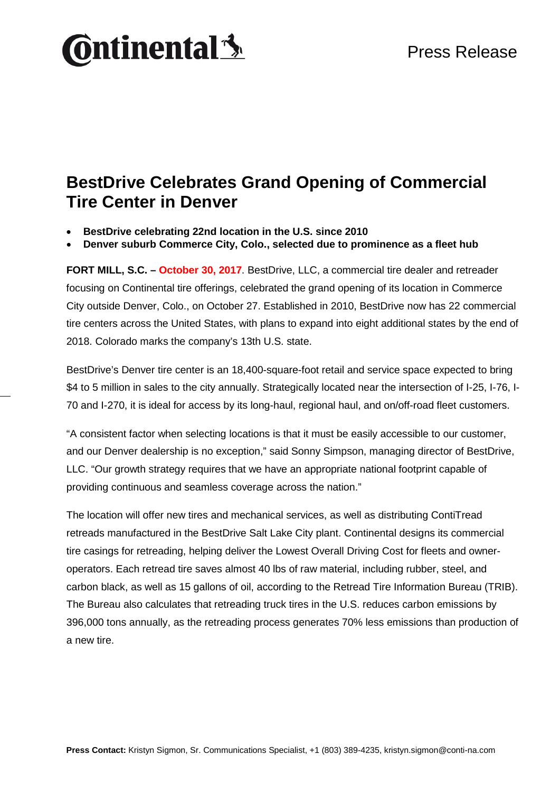# **Ontinental3**

#### **BestDrive Celebrates Grand Opening of Commercial Tire Center in Denver**

• **BestDrive celebrating 22nd location in the U.S. since 2010**

• **Denver suburb Commerce City, Colo., selected due to prominence as a fleet hub**

**FORT MILL, S.C. – October 30, 2017**. BestDrive, LLC, a commercial tire dealer and retreader focusing on Continental tire offerings, celebrated the grand opening of its location in Commerce City outside Denver, Colo., on October 27. Established in 2010, BestDrive now has 22 commercial tire centers across the United States, with plans to expand into eight additional states by the end of 2018. Colorado marks the company's 13th U.S. state.

BestDrive's Denver tire center is an 18,400-square-foot retail and service space expected to bring \$4 to 5 million in sales to the city annually. Strategically located near the intersection of I-25, I-76, I-70 and I-270, it is ideal for access by its long-haul, regional haul, and on/off-road fleet customers.

"A consistent factor when selecting locations is that it must be easily accessible to our customer, and our Denver dealership is no exception," said Sonny Simpson, managing director of BestDrive, LLC. "Our growth strategy requires that we have an appropriate national footprint capable of providing continuous and seamless coverage across the nation."

The location will offer new tires and mechanical services, as well as distributing ContiTread retreads manufactured in the BestDrive Salt Lake City plant. Continental designs its commercial tire casings for retreading, helping deliver the Lowest Overall Driving Cost for fleets and owneroperators. Each retread tire saves almost 40 lbs of raw material, including rubber, steel, and carbon black, as well as 15 gallons of oil, according to the Retread Tire Information Bureau (TRIB). The Bureau also calculates that retreading truck tires in the U.S. reduces carbon emissions by 396,000 tons annually, as the retreading process generates 70% less emissions than production of a new tire.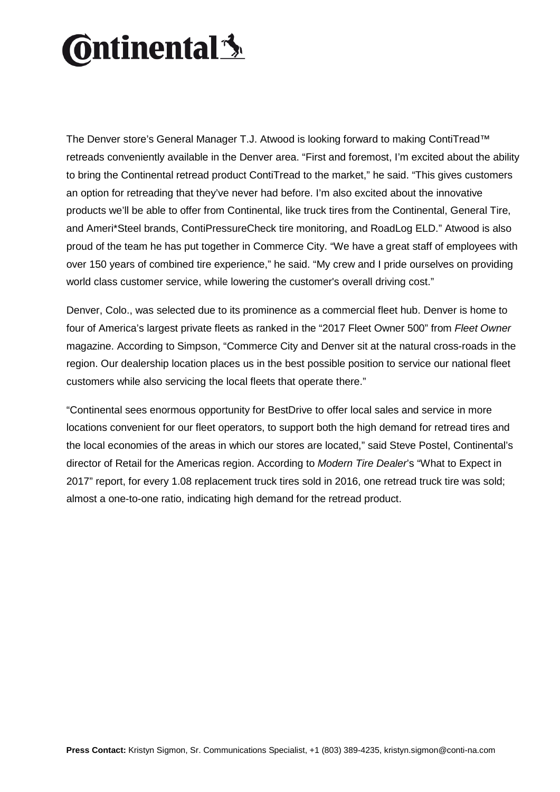# **Ontinental3**

The Denver store's General Manager T.J. Atwood is looking forward to making ContiTread™ retreads conveniently available in the Denver area. "First and foremost, I'm excited about the ability to bring the Continental retread product ContiTread to the market," he said. "This gives customers an option for retreading that they've never had before. I'm also excited about the innovative products we'll be able to offer from Continental, like truck tires from the Continental, General Tire, and Ameri\*Steel brands, ContiPressureCheck tire monitoring, and RoadLog ELD." Atwood is also proud of the team he has put together in Commerce City. "We have a great staff of employees with over 150 years of combined tire experience," he said. "My crew and I pride ourselves on providing world class customer service, while lowering the customer's overall driving cost."

Denver, Colo., was selected due to its prominence as a commercial fleet hub. Denver is home to four of America's largest private fleets as ranked in the "2017 Fleet Owner 500" from *Fleet Owner* magazine. According to Simpson, "Commerce City and Denver sit at the natural cross-roads in the region. Our dealership location places us in the best possible position to service our national fleet customers while also servicing the local fleets that operate there."

"Continental sees enormous opportunity for BestDrive to offer local sales and service in more locations convenient for our fleet operators, to support both the high demand for retread tires and the local economies of the areas in which our stores are located," said Steve Postel, Continental's director of Retail for the Americas region. According to *Modern Tire Dealer*'s "What to Expect in 2017" report, for every 1.08 replacement truck tires sold in 2016, one retread truck tire was sold; almost a one-to-one ratio, indicating high demand for the retread product.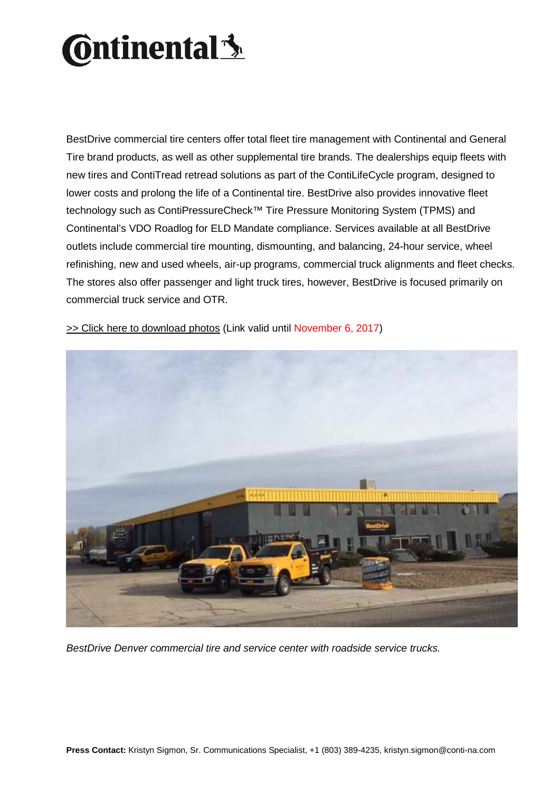# **Ontinental** 3

BestDrive commercial tire centers offer total fleet tire management with Continental and General Tire brand products, as well as other supplemental tire brands. The dealerships equip fleets with new tires and ContiTread retread solutions as part of the ContiLifeCycle program, designed to lower costs and prolong the life of a Continental tire. BestDrive also provides innovative fleet technology such as ContiPressureCheck™ Tire Pressure Monitoring System (TPMS) and Continental's VDO Roadlog for ELD Mandate compliance. Services available at all BestDrive outlets include commercial tire mounting, dismounting, and balancing, 24-hour service, wheel refinishing, new and used wheels, air-up programs, commercial truck alignments and fleet checks. The stores also offer passenger and light truck tires, however, BestDrive is focused primarily on commercial truck service and OTR.



>> Click [here to download photos](https://www.contiview.de/link/9cb0ce9a/) (Link valid until November 6, 2017)

*BestDrive Denver commercial tire and service center with roadside service trucks.*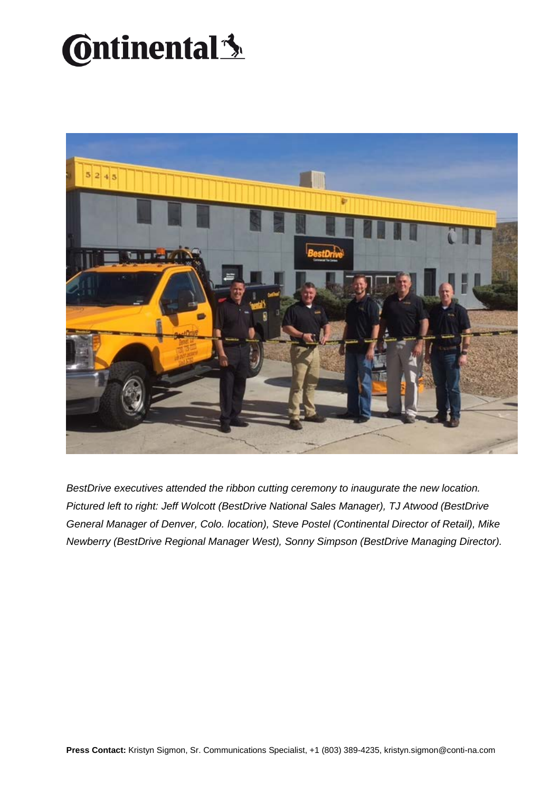### **C**ntinental<sup>3</sup>



*BestDrive executives attended the ribbon cutting ceremony to inaugurate the new location. Pictured left to right: Jeff Wolcott (BestDrive National Sales Manager), TJ Atwood (BestDrive General Manager of Denver, Colo. location), Steve Postel (Continental Director of Retail), Mike Newberry (BestDrive Regional Manager West), Sonny Simpson (BestDrive Managing Director).*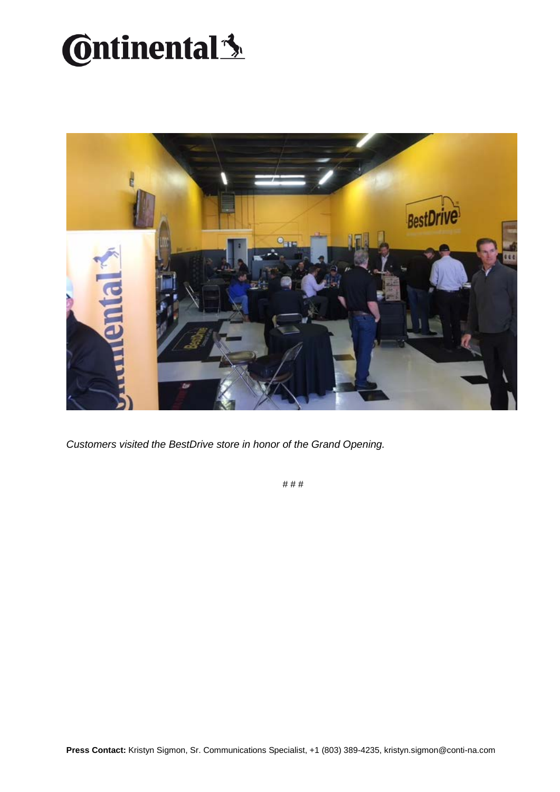## **Continental**<sup>3</sup>



*Customers visited the BestDrive store in honor of the Grand Opening.*

# # #